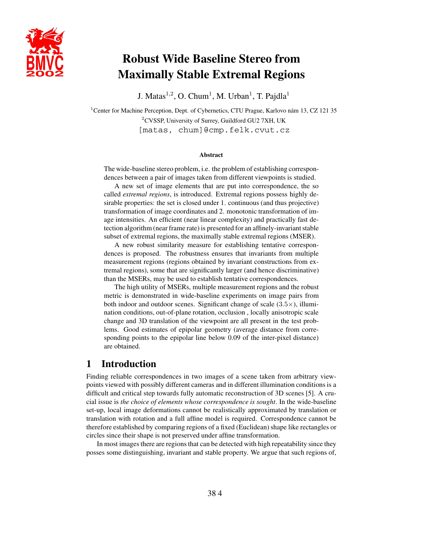

# **Robust Wide Baseline Stereo from Maximally Stable Extremal Regions**

J. Matas<sup>1,2</sup>, O. Chum<sup>1</sup>, M. Urban<sup>1</sup>, T. Pajdla<sup>1</sup>

<sup>1</sup> Center for Machine Perception, Dept. of Cybernetics, CTU Prague, Karlovo nám 13, CZ 121 35 <sup>2</sup>CVSSP, University of Surrey, Guildford GU2 7XH, UK [matas, chum]@cmp.felk.cvut.cz

#### **Abstract**

The wide-baseline stereo problem, i.e. the problem of establishing correspondences between a pair of images taken from different viewpoints is studied.

A new set of image elements that are put into correspondence, the so called *extremal regions*, is introduced. Extremal regions possess highly desirable properties: the set is closed under 1. continuous (and thus projective) transformation of image coordinates and 2. monotonic transformation of image intensities. An efficient (near linear complexity) and practically fast detection algorithm (near frame rate) is presented for an affinely-invariant stable subset of extremal regions, the maximally stable extremal regions (MSER).

A new robust similarity measure for establishing tentative correspondences is proposed. The robustness ensures that invariants from multiple measurement regions (regions obtained by invariant constructions from extremal regions), some that are significantly larger (and hence discriminative) than the MSERs, may be used to establish tentative correspondences.

The high utility of MSERs, multiple measurement regions and the robust metric is demonstrated in wide-baseline experiments on image pairs from both indoor and outdoor scenes. Significant change of scale  $(3.5\times)$ , illumination conditions, out-of-plane rotation, occlusion , locally anisotropic scale change and 3D translation of the viewpoint are all present in the test problems. Good estimates of epipolar geometry (average distance from corresponding points to the epipolar line below 0.09 of the inter-pixel distance) are obtained.

# **1 Introduction**

Finding reliable correspondences in two images of a scene taken from arbitrary viewpoints viewed with possibly different cameras and in different illumination conditions is a difficult and critical step towards fully automatic reconstruction of 3D scenes [5]. A crucial issue is *the choice of elements whose correspondence is sought*. In the wide-baseline set-up, local image deformations cannot be realistically approximated by translation or translation with rotation and a full affine model is required. Correspondence cannot be therefore established by comparing regions of a fixed (Euclidean) shape like rectangles or circles since their shape is not preserved under affine transformation.

In most images there are regions that can be detected with high repeatability since they posses some distinguishing, invariant and stable property. We argue that such regions of,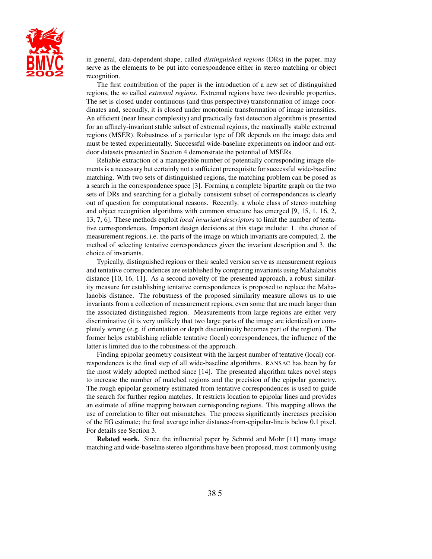

in general, data-dependent shape, called *distinguished regions* (DRs) in the paper, may serve as the elements to be put into correspondence either in stereo matching or object recognition.

The first contribution of the paper is the introduction of a new set of distinguished regions, the so called *extremal regions*. Extremal regions have two desirable properties. The set is closed under continuous (and thus perspective) transformation of image coordinates and, secondly, it is closed under monotonic transformation of image intensities. An efficient (near linear complexity) and practically fast detection algorithm is presented for an affinely-invariant stable subset of extremal regions, the maximally stable extremal regions (MSER). Robustness of a particular type of DR depends on the image data and must be tested experimentally. Successful wide-baseline experiments on indoor and outdoor datasets presented in Section 4 demonstrate the potential of MSERs.

Reliable extraction of a manageable number of potentially corresponding image elements is a necessary but certainly not a sufficient prerequisite for successful wide-baseline matching. With two sets of distinguished regions, the matching problem can be posed as a search in the correspondence space [3]. Forming a complete bipartite graph on the two sets of DRs and searching for a globally consistent subset of correspondences is clearly out of question for computational reasons. Recently, a whole class of stereo matching and object recognition algorithms with common structure has emerged [9, 15, 1, 16, 2, 13, 7, 6]. These methods exploit *local invariant descriptors* to limit the number of tentative correspondences. Important design decisions at this stage include: 1. the choice of measurement regions, i.e. the parts of the image on which invariants are computed, 2. the method of selecting tentative correspondences given the invariant description and 3. the choice of invariants.

Typically, distinguished regions or their scaled version serve as measurement regions and tentative correspondences are established by comparing invariants using Mahalanobis distance [10, 16, 11]. As a second novelty of the presented approach, a robust similarity measure for establishing tentative correspondences is proposed to replace the Mahalanobis distance. The robustness of the proposed similarity measure allows us to use invariants from a collection of measurement regions, even some that are much larger than the associated distinguished region. Measurements from large regions are either very discriminative (it is very unlikely that two large parts of the image are identical) or completely wrong (e.g. if orientation or depth discontinuity becomes part of the region). The former helps establishing reliable tentative (local) correspondences, the influence of the latter is limited due to the robustness of the approach.

Finding epipolar geometry consistent with the largest number of tentative (local) correspondences is the final step of all wide-baseline algorithms. RANSAC has been by far the most widely adopted method since [14]. The presented algorithm takes novel steps to increase the number of matched regions and the precision of the epipolar geometry. The rough epipolar geometry estimated from tentative correspondences is used to guide the search for further region matches. It restricts location to epipolar lines and provides an estimate of affine mapping between corresponding regions. This mapping allows the use of correlation to filter out mismatches. The process significantly increases precision of the EG estimate; the final average inlier distance-from-epipolar-line is below 0.1 pixel. For details see Section 3.

**Related work.** Since the influential paper by Schmid and Mohr [11] many image matching and wide-baseline stereo algorithms have been proposed, most commonly using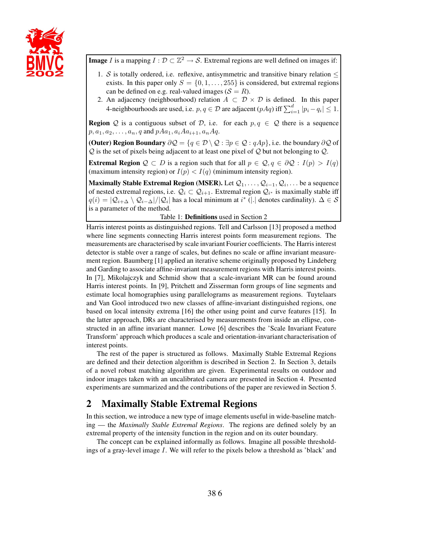

**Image** I is a mapping  $I: \mathcal{D} \subset \mathbb{Z}^2 \to \mathcal{S}$ . Extremal regions are well defined on images if:

- 1. S is totally ordered, i.e. reflexive, antisymmetric and transitive binary relation  $\leq$ exists. In this paper only  $S = \{0, 1, \ldots, 255\}$  is considered, but extremal regions can be defined on e.g. real-valued images ( $S = R$ ).
- 2. An adjacency (neighbourhood) relation  $A \subset \mathcal{D} \times \mathcal{D}$  is defined. In this paper 4-neighbourhoods are used, i.e.  $p, q \in \mathcal{D}$  are adjacent  $(pAq)$  iff  $\sum_{i=1}^{d} |p_i - q_i| \leq 1$ .

**Region** Q is a contiguous subset of D, i.e. for each  $p, q \in Q$  there is a sequence  $p, a_1, a_2, \ldots, a_n, q$  and  $pAa_1, a_iAa_{i+1}, a_nAq$ .

**(Outer) Region Boundary**  $\partial \mathcal{Q} = \{q \in \mathcal{D} \setminus \mathcal{Q} : \exists p \in \mathcal{Q} : qAp\}$ , i.e. the boundary  $\partial \mathcal{Q}$  of  $Q$  is the set of pixels being adjacent to at least one pixel of  $Q$  but not belonging to  $Q$ .

**Extremal Region**  $Q \subset D$  is a region such that for all  $p \in Q, q \in \partial Q : I(p) > I(q)$ (maximum intensity region) or  $I(p) < I(q)$  (minimum intensity region).

**Maximally Stable Extremal Region (MSER).** Let  $\mathcal{Q}_1, \ldots, \mathcal{Q}_{i-1}, \mathcal{Q}_i, \ldots$  be a sequence of nested extremal regions, i.e.  $Q_i \subset Q_{i+1}$ . Extremal region  $Q_{i^*}$  is maximally stable iff  $q(i) = |Q_{i+\Delta} \setminus Q_{i-\Delta}|/|Q_i|$  has a local minimum at  $i^*$  (|.| denotes cardinality).  $\Delta \in S$ <br>is a parameter of the method is a parameter of the method.

Table 1: **Definitions** used in Section 2

Harris interest points as distinguished regions. Tell and Carlsson [13] proposed a method where line segments connecting Harris interest points form measurement regions. The measurements are characterised by scale invariant Fourier coefficients. The Harris interest detector is stable over a range of scales, but defines no scale or affine invariant measurement region. Baumberg [1] applied an iterative scheme originally proposed by Lindeberg and Garding to associate affine-invariant measurement regions with Harris interest points. In [7], Mikolajczyk and Schmid show that a scale-invariant MR can be found around Harris interest points. In [9], Pritchett and Zisserman form groups of line segments and estimate local homographies using parallelograms as measurement regions. Tuytelaars and Van Gool introduced two new classes of affine-invariant distinguished regions, one based on local intensity extrema [16] the other using point and curve features [15]. In the latter approach, DRs are characterised by measurements from inside an ellipse, constructed in an affine invariant manner. Lowe [6] describes the 'Scale Invariant Feature Transform' approach which produces a scale and orientation-invariant characterisation of interest points.

The rest of the paper is structured as follows. Maximally Stable Extremal Regions are defined and their detection algorithm is described in Section 2. In Section 3, details of a novel robust matching algorithm are given. Experimental results on outdoor and indoor images taken with an uncalibrated camera are presented in Section 4. Presented experiments are summarized and the contributions of the paper are reviewed in Section 5.

# **2 Maximally Stable Extremal Regions**

In this section, we introduce a new type of image elements useful in wide-baseline matching — the *Maximally Stable Extremal Regions*. The regions are defined solely by an extremal property of the intensity function in the region and on its outer boundary.

The concept can be explained informally as follows. Imagine all possible thresholdings of a gray-level image I. We will refer to the pixels below a threshold as 'black' and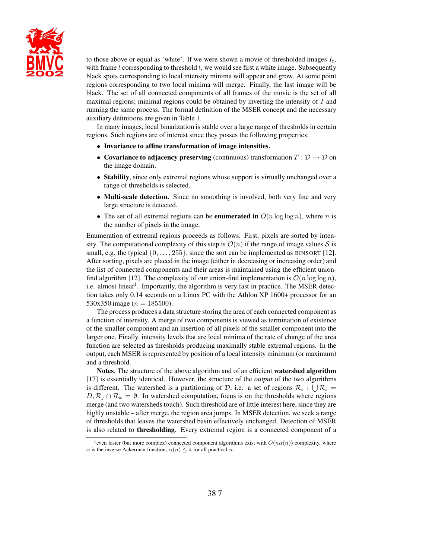

to those above or equal as 'white'. If we were shown a movie of thresholded images  $I_t$ , with frame  $t$  corresponding to threshold  $t$ , we would see first a white image. Subsequently black spots corresponding to local intensity minima will appear and grow. At some point regions corresponding to two local minima will merge. Finally, the last image will be black. The set of all connected components of all frames of the movie is the set of all maximal regions; minimal regions could be obtained by inverting the intensity of I and running the same process. The formal definition of the MSER concept and the necessary auxiliary definitions are given in Table 1.

In many images, local binarization is stable over a large range of thresholds in certain regions. Such regions are of interest since they posses the following properties:

- **Invariance to affine transformation of image intensities.**
- **Covariance to adjacency preserving** (continuous) transformation  $T : \mathcal{D} \to \mathcal{D}$  on the image domain.
- **Stability**, since only extremal regions whose support is virtually unchanged over a range of thresholds is selected.
- **Multi-scale detection.** Since no smoothing is involved, both very fine and very large structure is detected.
- The set of all extremal regions can be **enumerated in**  $O(n \log \log n)$ , where *n* is the number of pixels in the image.

Enumeration of extremal regions proceeds as follows. First, pixels are sorted by intensity. The computational complexity of this step is  $\mathcal{O}(n)$  if the range of image values S is small, e.g. the typical  $\{0,\ldots,255\}$ , since the sort can be implemented as BINSORT [12]. After sorting, pixels are placed in the image (either in decreasing or increasing order) and the list of connected components and their areas is maintained using the efficient unionfind algorithm [12]. The complexity of our union-find implementation is  $\mathcal{O}(n \log \log n)$ , i.e. almost linear<sup>1</sup>. Importantly, the algorithm is very fast in practice. The MSER detection takes only 0.14 seconds on a Linux PC with the Athlon XP 1600+ processor for an 530x350 image ( $n = 185500$ ).

The process produces a data structure storing the area of each connected component as a function of intensity. A merge of two components is viewed as termination of existence of the smaller component and an insertion of all pixels of the smaller component into the larger one. Finally, intensity levels that are local minima of the rate of change of the area function are selected as thresholds producing maximally stable extremal regions. In the output, each MSER is represented by position of a local intensity minimum (or maximum) and a threshold.

**Notes**. The structure of the above algorithm and of an efficient **watershed algorithm** [17] is essentially identical. However, the structure of the *output* of the two algorithms is different. The watershed is a partitioning of D, i.e. a set of regions  $\mathcal{R}_i : \bigcup \mathcal{R}_i = D \mathcal{R} \cdot \bigcap \mathcal{R}_i \cdot \bigcap \mathcal{R}_i = D \mathcal{R}$ .  $D, \mathcal{R}_i \cap \mathcal{R}_k = \emptyset$ . In watershed computation, focus is on the thresholds where regions merge (and two watersheds touch). Such threshold are of little interest here, since they are highly unstable – after merge, the region area jumps. In MSER detection, we seek a range of thresholds that leaves the watershed basin effectively unchanged. Detection of MSER is also related to **thresholding**. Every extremal region is a connected component of a

<sup>&</sup>lt;sup>1</sup>even faster (but more complex) connected component algorithms exist with  $O(n\alpha(n))$  complexity, where  $\alpha$  is the inverse Ackerman function;  $\alpha(n) \leq 4$  for all practical n.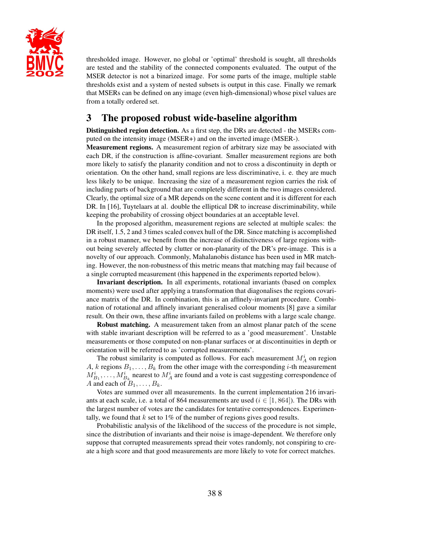

thresholded image. However, no global or 'optimal' threshold is sought, all thresholds are tested and the stability of the connected components evaluated. The output of the MSER detector is not a binarized image. For some parts of the image, multiple stable thresholds exist and a system of nested subsets is output in this case. Finally we remark that MSERs can be defined on any image (even high-dimensional) whose pixel values are from a totally ordered set.

# **3 The proposed robust wide-baseline algorithm**

**Distinguished region detection.** As a first step, the DRs are detected - the MSERs computed on the intensity image (MSER+) and on the inverted image (MSER-).

**Measurement regions.** A measurement region of arbitrary size may be associated with each DR, if the construction is affine-covariant. Smaller measurement regions are both more likely to satisfy the planarity condition and not to cross a discontinuity in depth or orientation. On the other hand, small regions are less discriminative, i. e. they are much less likely to be unique. Increasing the size of a measurement region carries the risk of including parts of background that are completely different in the two images considered. Clearly, the optimal size of a MR depends on the scene content and it is different for each DR. In [16], Tuytelaars at al. double the elliptical DR to increase discriminability, while keeping the probability of crossing object boundaries at an acceptable level.

In the proposed algorithm, measurement regions are selected at multiple scales: the DR itself, 1.5, 2 and 3 times scaled convex hull of the DR. Since matching is accomplished in a robust manner, we benefit from the increase of distinctiveness of large regions without being severely affected by clutter or non-planarity of the DR's pre-image. This is a novelty of our approach. Commonly, Mahalanobis distance has been used in MR matching. However, the non-robustness of this metric means that matching may fail because of a single corrupted measurement (this happened in the experiments reported below).

**Invariant description.** In all experiments, rotational invariants (based on complex moments) were used after applying a transformation that diagonalises the regions covariance matrix of the DR. In combination, this is an affinely-invariant procedure. Combination of rotational and affinely invariant generalised colour moments [8] gave a similar result. On their own, these affine invariants failed on problems with a large scale change.

**Robust matching.** A measurement taken from an almost planar patch of the scene with stable invariant description will be referred to as a 'good measurement'. Unstable measurements or those computed on non-planar surfaces or at discontinuities in depth or orientation will be referred to as 'corrupted measurements'.

The robust similarity is computed as follows. For each measurement  $M_A^i$  on region A, k regions  $B_1, \ldots, B_k$  from the other image with the corresponding i-th measurement  $M_{B_1}^i, \ldots, M_{B_k}^i$  nearest to  $M_A^i$  are found and a vote is cast suggesting correspondence of A and each of  $B_1, \ldots, B_k$ .

Votes are summed over all measurements. In the current implementation 216 invariants at each scale, i.e. a total of 864 measurements are used ( $i \in [1, 864]$ ). The DRs with the largest number of votes are the candidates for tentative correspondences. Experimentally, we found that  $k$  set to 1% of the number of regions gives good results.

Probabilistic analysis of the likelihood of the success of the procedure is not simple, since the distribution of invariants and their noise is image-dependent. We therefore only suppose that corrupted measurements spread their votes randomly, not conspiring to create a high score and that good measurements are more likely to vote for correct matches.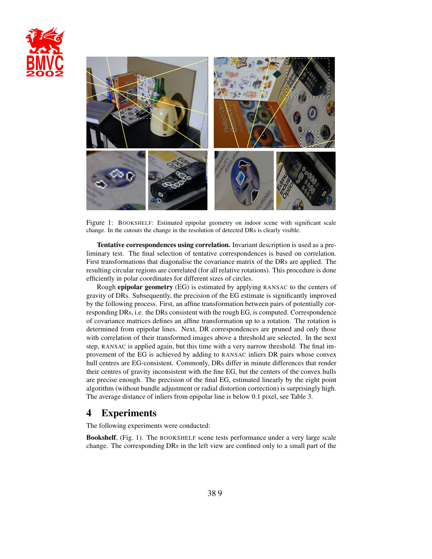



Figure 1: BOOKSHELF: Estimated epipolar geometry on indoor scene with significant scale change. In the cutouts the change in the resolution of detected DRs is clearly visible.

**Tentative correspondences using correlation.** Invariant description is used as a preliminary test. The final selection of tentative correspondences is based on correlation. First transformations that diagonalise the covariance matrix of the DRs are applied. The resulting circular regions are correlated (for all relative rotations). This procedure is done efficiently in polar coordinates for different sizes of circles.

Rough **epipolar geometry** (EG) is estimated by applying RANSAC to the centers of gravity of DRs. Subsequently, the precision of the EG estimate is significantly improved by the following process. First, an affine transformation between pairs of potentially corresponding DRs, i.e. the DRs consistent with the rough EG, is computed. Correspondence of covariance matrices defines an affine transformation up to a rotation. The rotation is determined from epipolar lines. Next, DR correspondences are pruned and only those with correlation of their transformed images above a threshold are selected. In the next step, RANSAC is applied again, but this time with a very narrow threshold. The final improvement of the EG is achieved by adding to RANSAC inliers DR pairs whose convex hull centres are EG-consistent. Commonly, DRs differ in minute differences that render their centres of gravity inconsistent with the fine EG, but the centers of the convex hulls are precise enough. The precision of the final EG, estimated linearly by the eight point algorithm (without bundle adjustment or radial distortion correction) is surprisingly high. The average distance of inliers from epipolar line is below 0.1 pixel, see Table 3.

# **4 Experiments**

The following experiments were conducted:

**Bookshelf**, (Fig. 1). The BOOKSHELF scene tests performance under a very large scale change. The corresponding DRs in the left view are confined only to a small part of the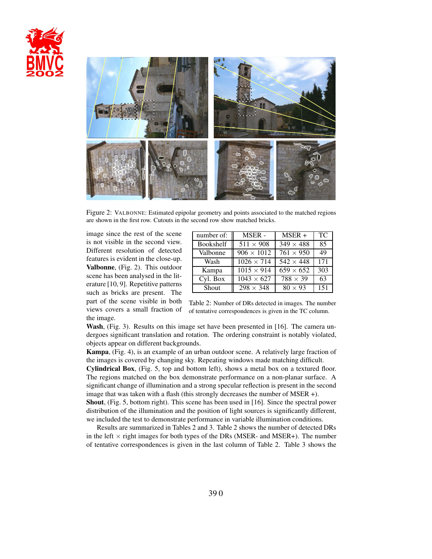



Figure 2: VALBONNE: Estimated epipolar geometry and points associated to the matched regions are shown in the first row. Cutouts in the second row show matched bricks.

image since the rest of the scene is not visible in the second view. Different resolution of detected features is evident in the close-up. **Valbonne**, (Fig. 2). This outdoor scene has been analysed in the literature [10, 9]. Repetitive patterns such as bricks are present. The part of the scene visible in both views covers a small fraction of the image.

| number of:   | <b>MSER-</b>      | $MSER +$                    | TC. |
|--------------|-------------------|-----------------------------|-----|
| Bookshelf    | $511 \times 908$  | $\overline{3}49 \times 488$ | 85  |
| Valbonne     | $906 \times 1012$ | $761 \times 950$            | 49  |
| Wash         | $1026 \times 714$ | $\overline{5}42 \times 448$ | 171 |
| Kampa        | $1015 \times 914$ | $659 \times 652$            | 303 |
| Cyl. Box     | $1043 \times 627$ | $\overline{788} \times 39$  | 63  |
| <b>Shout</b> | $298 \times 348$  | $80 \times 93$              | 151 |

Table 2: Number of DRs detected in images. The number of tentative correspondences is given in the TC column.

**Wash**, (Fig. 3). Results on this image set have been presented in [16]. The camera undergoes significant translation and rotation. The ordering constraint is notably violated, objects appear on different backgrounds.

**Kampa**, (Fig. 4), is an example of an urban outdoor scene. A relatively large fraction of the images is covered by changing sky. Repeating windows made matching difficult.

**Cylindrical Box**, (Fig. 5, top and bottom left), shows a metal box on a textured floor. The regions matched on the box demonstrate performance on a non-planar surface. A significant change of illumination and a strong specular reflection is present in the second image that was taken with a flash (this strongly decreases the number of MSER +).

**Shout**, (Fig. 5, bottom right). This scene has been used in [16]. Since the spectral power distribution of the illumination and the position of light sources is significantly different, we included the test to demonstrate performance in variable illumination conditions.

Results are summarized in Tables 2 and 3. Table 2 shows the number of detected DRs in the left  $\times$  right images for both types of the DRs (MSER- and MSER+). The number of tentative correspondences is given in the last column of Table 2. Table 3 shows the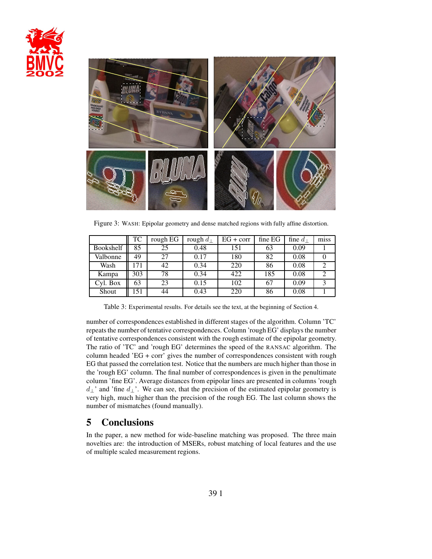



Figure 3: WASH: Epipolar geometry and dense matched regions with fully affine distortion.

|                  | TC  | rough EG | rough $d_{\perp}$ | $EG + corr$ | fine EG | fine $d_{\perp}$ | miss |
|------------------|-----|----------|-------------------|-------------|---------|------------------|------|
| <b>Bookshelf</b> | 85  | 25       | 0.48              | 151         | 63      | 0.09             |      |
| Valbonne         | 49  | 27       | 0.17              | 180         | 82      | 0.08             |      |
| Wash             | 171 | 42       | 0.34              | 220         | 86      | 0.08             |      |
| Kampa            | 303 | 78       | 0.34              | 422         | 185     | 0.08             |      |
| Cyl. Box         | 63  | 23       | 0.15              | 102         | 67      | 0.09             |      |
| Shout            | 151 | 44       | 0.43              | 220         | 86      | 0.08             |      |

Table 3: Experimental results. For details see the text, at the beginning of Section 4.

number of correspondences established in different stages of the algorithm. Column 'TC' repeats the number of tentative correspondences. Column 'rough EG' displays the number of tentative correspondences consistent with the rough estimate of the epipolar geometry. The ratio of 'TC' and 'rough EG' determines the speed of the RANSAC algorithm. The column headed 'EG + corr' gives the number of correspondences consistent with rough EG that passed the correlation test. Notice that the numbers are much higher than those in the 'rough EG' column. The final number of correspondences is given in the penultimate column 'fine EG'. Average distances from epipolar lines are presented in columns 'rough  $d_{\perp}$ ' and 'fine  $d_{\perp}$ '. We can see, that the precision of the estimated epipolar geometry is very high, much higher than the precision of the rough EG. The last column shows the number of mismatches (found manually).

# **5 Conclusions**

In the paper, a new method for wide-baseline matching was proposed. The three main novelties are: the introduction of MSERs, robust matching of local features and the use of multiple scaled measurement regions.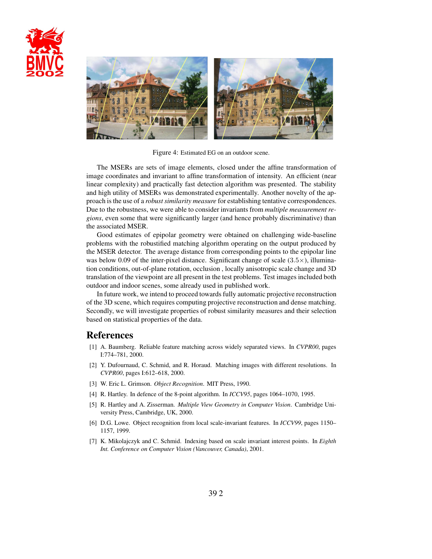



Figure 4: Estimated EG on an outdoor scene.

The MSERs are sets of image elements, closed under the affine transformation of image coordinates and invariant to affine transformation of intensity. An efficient (near linear complexity) and practically fast detection algorithm was presented. The stability and high utility of MSERs was demonstrated experimentally. Another novelty of the approach is the use of a *robust similarity measure* for establishing tentative correspondences. Due to the robustness, we were able to consider invariants from *multiple measurement regions*, even some that were significantly larger (and hence probably discriminative) than the associated MSER.

Good estimates of epipolar geometry were obtained on challenging wide-baseline problems with the robustified matching algorithm operating on the output produced by the MSER detector. The average distance from corresponding points to the epipolar line was below 0.09 of the inter-pixel distance. Significant change of scale  $(3.5\times)$ , illumination conditions, out-of-plane rotation, occlusion , locally anisotropic scale change and 3D translation of the viewpoint are all present in the test problems. Test images included both outdoor and indoor scenes, some already used in published work.

In future work, we intend to proceed towards fully automatic projective reconstruction of the 3D scene, which requires computing projective reconstruction and dense matching. Secondly, we will investigate properties of robust similarity measures and their selection based on statistical properties of the data.

# **References**

- [1] A. Baumberg. Reliable feature matching across widely separated views. In *CVPR00*, pages I:774–781, 2000.
- [2] Y. Dufournaud, C. Schmid, and R. Horaud. Matching images with different resolutions. In *CVPR00*, pages I:612–618, 2000.
- [3] W. Eric L. Grimson. *Object Recognition*. MIT Press, 1990.
- [4] R. Hartley. In defence of the 8-point algorithm. In *ICCV95*, pages 1064–1070, 1995.
- [5] R. Hartley and A. Zisserman. *Multiple View Geometry in Computer Vision*. Cambridge University Press, Cambridge, UK, 2000.
- [6] D.G. Lowe. Object recognition from local scale-invariant features. In *ICCV99*, pages 1150– 1157, 1999.
- [7] K. Mikolajczyk and C. Schmid. Indexing based on scale invariant interest points. In *Eighth Int. Conference on Computer Vision (Vancouver, Canada)*, 2001.